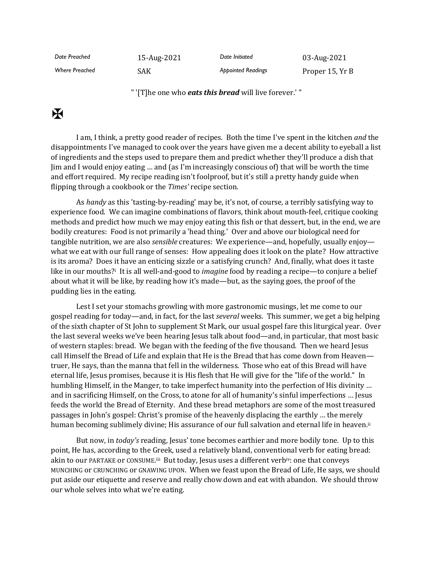*Date Preached* 15-Aug-2021 *Date Initiated* 03-Aug-2021 *Where Preached* SAK *Appointed Readings* Proper 15, Yr B

" '[T]he one who *eats this bread* will live forever.' "

## $\mathbf K$

I am, I think, a pretty good reader of recipes. Both the time I've spent in the kitchen *and* the disappointments I've managed to cook over the years have given me a decent ability to eyeball a list of ingredients and the steps used to prepare them and predict whether they'll produce a dish that Jim and I would enjoy eating … and (as I'm increasingly conscious of) that will be worth the time and effort required. My recipe reading isn't foolproof, but it's still a pretty handy guide when flipping through a cookbook or the *Times'* recipe section.

As *handy* as this 'tasting-by-reading' may be, it's not, of course, a terribly satisfying way to experience food. We can imagine combinations of flavors, think about mouth-feel, critique cooking methods and predict how much we may enjoy eating this fish or that dessert, but, in the end, we are bodily creatures: Food is not primarily a 'head thing.' Over and above our biological need for tangible nutrition, we are also *sensible* creatures: We experience—and, hopefully, usually enjoy what we eat with our full range of senses: How appealing does it look on the plate? How attractive is its aroma? Does it have an enticing sizzle or a satisfying crunch? And, finally, what does it taste like in our mouths?<sup>i</sup> It is all well-and-good to *imagine* food by reading a recipe—to conjure a belief about what it will be like, by reading how it's made—but, as the saying goes, the proof of the pudding lies in the eating.

Lest I set your stomachs growling with more gastronomic musings, let me come to our gospel reading for today—and, in fact, for the last *several* weeks. This summer, we get a big helping of the sixth chapter of St John to supplement St Mark, our usual gospel fare this liturgical year. Over the last several weeks we've been hearing Jesus talk about food—and, in particular, that most basic of western staples: bread. We began with the feeding of the five thousand. Then we heard Jesus call Himself the Bread of Life and explain that He is the Bread that has come down from Heaven truer, He says, than the manna that fell in the wilderness. Those who eat of this Bread will have eternal life, Jesus promises, because it is His flesh that He will give for the "life of the world." In humbling Himself, in the Manger, to take imperfect humanity into the perfection of His divinity … and in sacrificing Himself, on the Cross, to atone for all of humanity's sinful imperfections … Jesus feeds the world the Bread of Eternity. And these bread metaphors are some of the most treasured passages in John's gospel: Christ's promise of the heavenly displacing the earthly … the merely human becoming sublimely divine; His assurance of our full salvation and eternal life in heaven.<sup>ii</sup>

But now, in *today's* reading, Jesus' tone becomes earthier and more bodily tone. Up to this point, He has, according to the Greek, used a relatively bland, conventional verb for eating bread: akin to our PARTAKE or CONSUME.<sup>iii</sup> But today, Jesus uses a different verb<sup>iv</sup>: one that conveys MUNCHING or CRUNCHING or GNAWING UPON. When we feast upon the Bread of Life, He says, we should put aside our etiquette and reserve and really chow down and eat with abandon. We should throw our whole selves into what we're eating.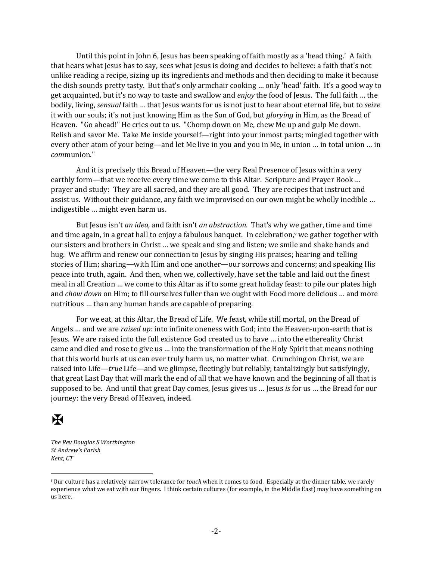Until this point in John 6, Jesus has been speaking of faith mostly as a 'head thing.' A faith that hears what Jesus has to say, sees what Jesus is doing and decides to believe: a faith that's not unlike reading a recipe, sizing up its ingredients and methods and then deciding to make it because the dish sounds pretty tasty. But that's only armchair cooking … only 'head' faith. It's a good way to get acquainted, but it's no way to taste and swallow and *enjoy* the food of Jesus. The full faith … the bodily, living, *sensual* faith … that Jesus wants for us is not just to hear about eternal life, but to *seize* it with our souls; it's not just knowing Him as the Son of God, but *glorying* in Him, as the Bread of Heaven. "Go ahead!" He cries out to us. "Chomp down on Me, chew Me up and gulp Me down. Relish and savor Me. Take Me inside yourself—right into your inmost parts; mingled together with every other atom of your being—and let Me live in you and you in Me, in union … in total union … in *com*munion."

And it is precisely this Bread of Heaven—the very Real Presence of Jesus within a very earthly form—that we receive every time we come to this Altar. Scripture and Prayer Book ... prayer and study: They are all sacred, and they are all good. They are recipes that instruct and assist us. Without their guidance, any faith we improvised on our own might be wholly inedible … indigestible … might even harm us.

But Jesus isn't *an idea,* and faith isn't *an abstraction*. That's why we gather, time and time and time again, in a great hall to enjoy a fabulous banquet. In celebration, <sup>v</sup> we gather together with our sisters and brothers in Christ … we speak and sing and listen; we smile and shake hands and hug. We affirm and renew our connection to Jesus by singing His praises; hearing and telling stories of Him; sharing—with Him and one another—our sorrows and concerns; and speaking His peace into truth, again. And then, when we, collectively, have set the table and laid out the finest meal in all Creation … we come to this Altar as if to some great holiday feast: to pile our plates high and *chow down* on Him; to fill ourselves fuller than we ought with Food more delicious … and more nutritious … than any human hands are capable of preparing.

For we eat, at this Altar, the Bread of Life. We feast, while still mortal, on the Bread of Angels … and we are *raised up:* into infinite oneness with God; into the Heaven-upon-earth that is Jesus. We are raised into the full existence God created us to have … into the ethereality Christ came and died and rose to give us … into the transformation of the Holy Spirit that means nothing that this world hurls at us can ever truly harm us, no matter what. Crunching on Christ, we are raised into Life—*true* Life—and we glimpse, fleetingly but reliably; tantalizingly but satisfyingly, that great Last Day that will mark the end of all that we have known and the beginning of all that is supposed to be. And until that great Day comes, Jesus gives us … Jesus *is* for us … the Bread for our journey: the very Bread of Heaven, indeed.

## Ж

*The Rev Douglas S Worthington St Andrew's Parish Kent, CT*

<sup>i</sup> Our culture has a relatively narrow tolerance for *touch* when it comes to food. Especially at the dinner table, we rarely experience what we eat with our fingers. I think certain cultures (for example, in the Middle East) may have something on us here.